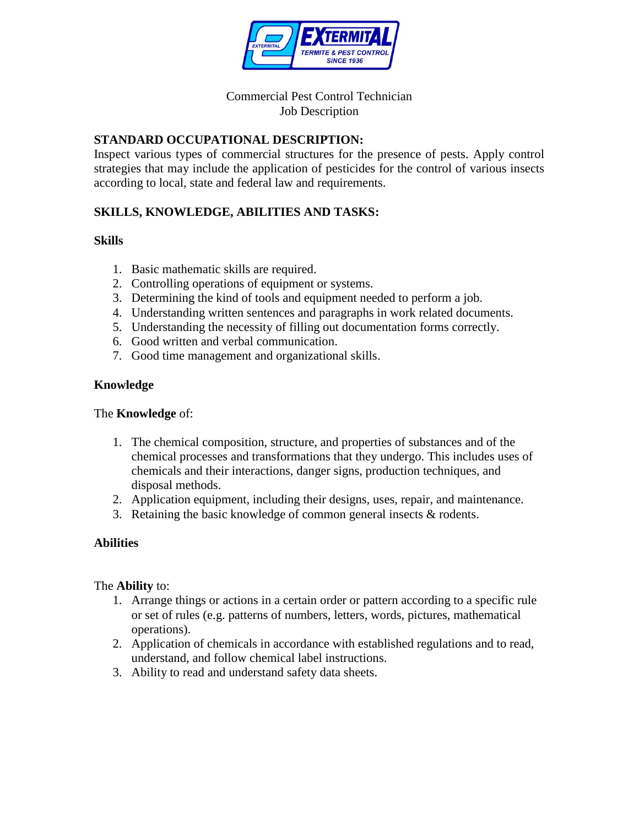

## Commercial Pest Control Technician Job Description

# **STANDARD OCCUPATIONAL DESCRIPTION:**

Inspect various types of commercial structures for the presence of pests. Apply control strategies that may include the application of pesticides for the control of various insects according to local, state and federal law and requirements.

# **SKILLS, KNOWLEDGE, ABILITIES AND TASKS:**

## **Skills**

- 1. Basic mathematic skills are required.
- 2. Controlling operations of equipment or systems.
- 3. Determining the kind of tools and equipment needed to perform a job.
- 4. Understanding written sentences and paragraphs in work related documents.
- 5. Understanding the necessity of filling out documentation forms correctly.
- 6. Good written and verbal communication.
- 7. Good time management and organizational skills.

## **Knowledge**

#### The **Knowledge** of:

- 1. The chemical composition, structure, and properties of substances and of the chemical processes and transformations that they undergo. This includes uses of chemicals and their interactions, danger signs, production techniques, and disposal methods.
- 2. Application equipment, including their designs, uses, repair, and maintenance.
- 3. Retaining the basic knowledge of common general insects & rodents.

## **Abilities**

#### The **Ability** to:

- 1. Arrange things or actions in a certain order or pattern according to a specific rule or set of rules (e.g. patterns of numbers, letters, words, pictures, mathematical operations).
- 2. Application of chemicals in accordance with established regulations and to read, understand, and follow chemical label instructions.
- 3. Ability to read and understand safety data sheets.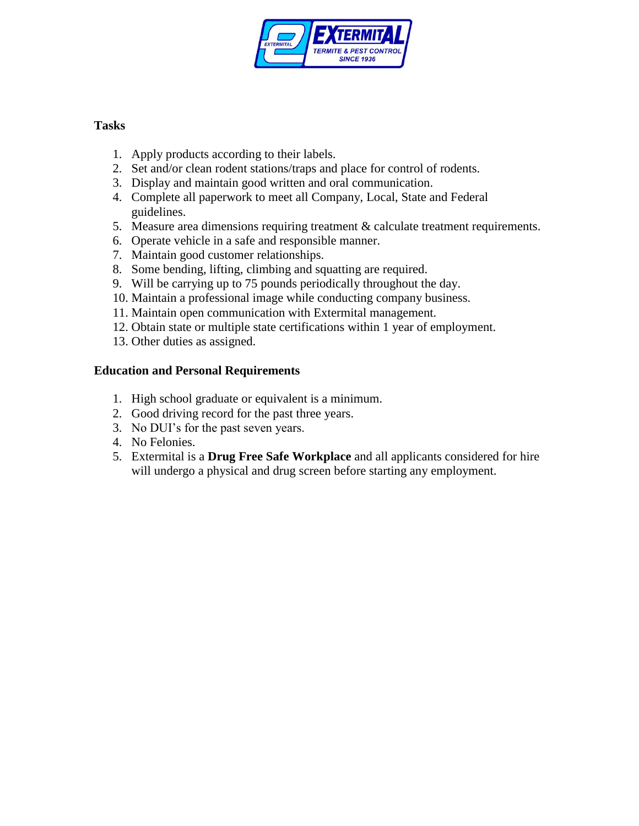

## **Tasks**

- 1. Apply products according to their labels.
- 2. Set and/or clean rodent stations/traps and place for control of rodents.
- 3. Display and maintain good written and oral communication.
- 4. Complete all paperwork to meet all Company, Local, State and Federal guidelines.
- 5. Measure area dimensions requiring treatment & calculate treatment requirements.
- 6. Operate vehicle in a safe and responsible manner.
- 7. Maintain good customer relationships.
- 8. Some bending, lifting, climbing and squatting are required.
- 9. Will be carrying up to 75 pounds periodically throughout the day.
- 10. Maintain a professional image while conducting company business.
- 11. Maintain open communication with Extermital management.
- 12. Obtain state or multiple state certifications within 1 year of employment.
- 13. Other duties as assigned.

# **Education and Personal Requirements**

- 1. High school graduate or equivalent is a minimum.
- 2. Good driving record for the past three years.
- 3. No DUI's for the past seven years.
- 4. No Felonies.
- 5. Extermital is a **Drug Free Safe Workplace** and all applicants considered for hire will undergo a physical and drug screen before starting any employment.